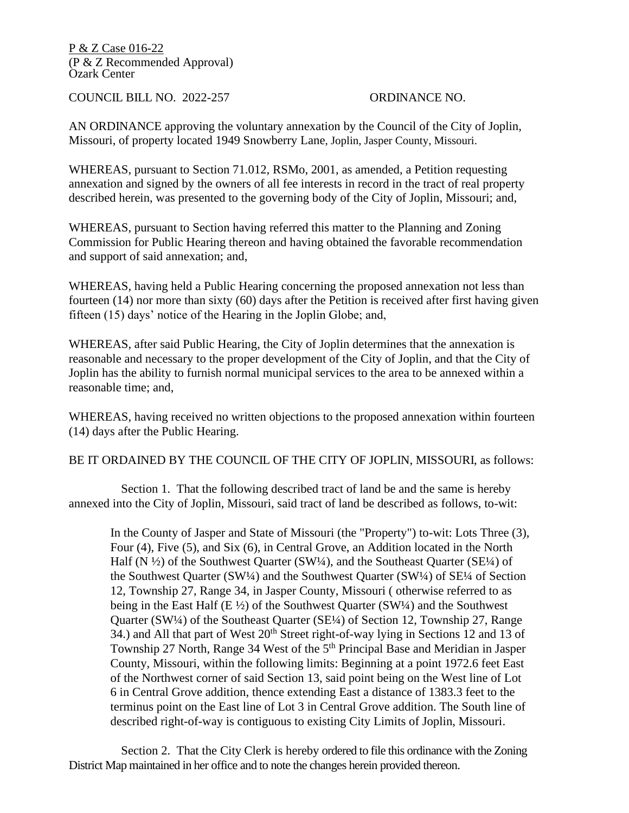P & Z Case 016-22 (P & Z Recommended Approval) Ozark Center

COUNCIL BILL NO. 2022-257 ORDINANCE NO.

AN ORDINANCE approving the voluntary annexation by the Council of the City of Joplin, Missouri, of property located 1949 Snowberry Lane, Joplin, Jasper County, Missouri.

WHEREAS, pursuant to Section 71.012, RSMo, 2001, as amended, a Petition requesting annexation and signed by the owners of all fee interests in record in the tract of real property described herein, was presented to the governing body of the City of Joplin, Missouri; and,

WHEREAS, pursuant to Section having referred this matter to the Planning and Zoning Commission for Public Hearing thereon and having obtained the favorable recommendation and support of said annexation; and,

WHEREAS, having held a Public Hearing concerning the proposed annexation not less than fourteen (14) nor more than sixty (60) days after the Petition is received after first having given fifteen (15) days' notice of the Hearing in the Joplin Globe; and,

WHEREAS, after said Public Hearing, the City of Joplin determines that the annexation is reasonable and necessary to the proper development of the City of Joplin, and that the City of Joplin has the ability to furnish normal municipal services to the area to be annexed within a reasonable time; and,

WHEREAS, having received no written objections to the proposed annexation within fourteen (14) days after the Public Hearing.

BE IT ORDAINED BY THE COUNCIL OF THE CITY OF JOPLIN, MISSOURI, as follows:

 Section 1. That the following described tract of land be and the same is hereby annexed into the City of Joplin, Missouri, said tract of land be described as follows, to-wit:

In the County of Jasper and State of Missouri (the "Property") to-wit: Lots Three (3), Four (4), Five (5), and Six (6), in Central Grove, an Addition located in the North Half (N  $\frac{1}{2}$ ) of the Southwest Quarter (SW $\frac{1}{4}$ ), and the Southeast Quarter (SE $\frac{1}{4}$ ) of the Southwest Quarter (SW¼) and the Southwest Quarter (SW¼) of SE¼ of Section 12, Township 27, Range 34, in Jasper County, Missouri ( otherwise referred to as being in the East Half (E  $\frac{1}{2}$ ) of the Southwest Quarter (SW $\frac{1}{4}$ ) and the Southwest Quarter (SW¼) of the Southeast Quarter (SE¼) of Section 12, Township 27, Range 34.) and All that part of West 20<sup>th</sup> Street right-of-way lying in Sections 12 and 13 of Township 27 North, Range 34 West of the 5th Principal Base and Meridian in Jasper County, Missouri, within the following limits: Beginning at a point 1972.6 feet East of the Northwest corner of said Section 13, said point being on the West line of Lot 6 in Central Grove addition, thence extending East a distance of 1383.3 feet to the terminus point on the East line of Lot 3 in Central Grove addition. The South line of described right-of-way is contiguous to existing City Limits of Joplin, Missouri.

 Section 2. That the City Clerk is hereby ordered to file this ordinance with the Zoning District Map maintained in her office and to note the changes herein provided thereon.